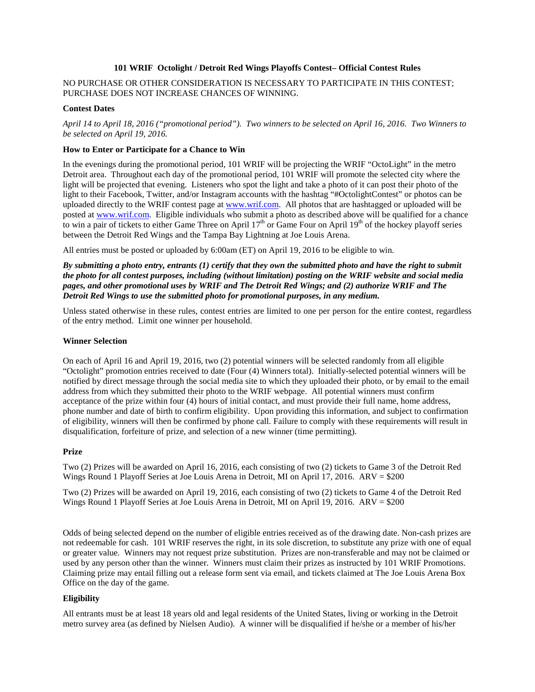## **101 WRIF Octolight / Detroit Red Wings Playoffs Contest– Official Contest Rules**

# NO PURCHASE OR OTHER CONSIDERATION IS NECESSARY TO PARTICIPATE IN THIS CONTEST; PURCHASE DOES NOT INCREASE CHANCES OF WINNING.

## **Contest Dates**

*April 14 to April 18, 2016 ("promotional period"). Two winners to be selected on April 16, 2016. Two Winners to be selected on April 19, 2016.*

## **How to Enter or Participate for a Chance to Win**

In the evenings during the promotional period, 101 WRIF will be projecting the WRIF "OctoLight" in the metro Detroit area. Throughout each day of the promotional period, 101 WRIF will promote the selected city where the light will be projected that evening. Listeners who spot the light and take a photo of it can post their photo of the light to their Facebook, Twitter, and/or Instagram accounts with the hashtag "#OctolightContest" or photos can be uploaded directly to the WRIF contest page at [www.wrif.com.](http://www.wrif.com/) All photos that are hashtagged or uploaded will be posted at [www.wrif.com.](http://www.wrif.com/) Eligible individuals who submit a photo as described above will be qualified for a chance to win a pair of tickets to either Game Three on April  $17<sup>th</sup>$  or Game Four on April  $19<sup>th</sup>$  of the hockey playoff series between the Detroit Red Wings and the Tampa Bay Lightning at Joe Louis Arena.

All entries must be posted or uploaded by 6:00am (ET) on April 19, 2016 to be eligible to win.

*By submitting a photo entry, entrants (1) certify that they own the submitted photo and have the right to submit the photo for all contest purposes, including (without limitation) posting on the WRIF website and social media pages, and other promotional uses by WRIF and The Detroit Red Wings; and (2) authorize WRIF and The Detroit Red Wings to use the submitted photo for promotional purposes, in any medium.*

Unless stated otherwise in these rules, contest entries are limited to one per person for the entire contest, regardless of the entry method. Limit one winner per household.

### **Winner Selection**

On each of April 16 and April 19, 2016, two (2) potential winners will be selected randomly from all eligible "Octolight" promotion entries received to date (Four (4) Winners total). Initially-selected potential winners will be notified by direct message through the social media site to which they uploaded their photo, or by email to the email address from which they submitted their photo to the WRIF webpage. All potential winners must confirm acceptance of the prize within four (4) hours of initial contact, and must provide their full name, home address, phone number and date of birth to confirm eligibility. Upon providing this information, and subject to confirmation of eligibility, winners will then be confirmed by phone call. Failure to comply with these requirements will result in disqualification, forfeiture of prize, and selection of a new winner (time permitting).

### **Prize**

Two (2) Prizes will be awarded on April 16, 2016, each consisting of two (2) tickets to Game 3 of the Detroit Red Wings Round 1 Playoff Series at Joe Louis Arena in Detroit, MI on April 17, 2016. ARV = \$200

Two (2) Prizes will be awarded on April 19, 2016, each consisting of two (2) tickets to Game 4 of the Detroit Red Wings Round 1 Playoff Series at Joe Louis Arena in Detroit, MI on April 19, 2016. ARV = \$200

Odds of being selected depend on the number of eligible entries received as of the drawing date. Non-cash prizes are not redeemable for cash. 101 WRIF reserves the right, in its sole discretion, to substitute any prize with one of equal or greater value. Winners may not request prize substitution. Prizes are non-transferable and may not be claimed or used by any person other than the winner. Winners must claim their prizes as instructed by 101 WRIF Promotions. Claiming prize may entail filling out a release form sent via email, and tickets claimed at The Joe Louis Arena Box Office on the day of the game.

## **Eligibility**

All entrants must be at least 18 years old and legal residents of the United States, living or working in the Detroit metro survey area (as defined by Nielsen Audio). A winner will be disqualified if he/she or a member of his/her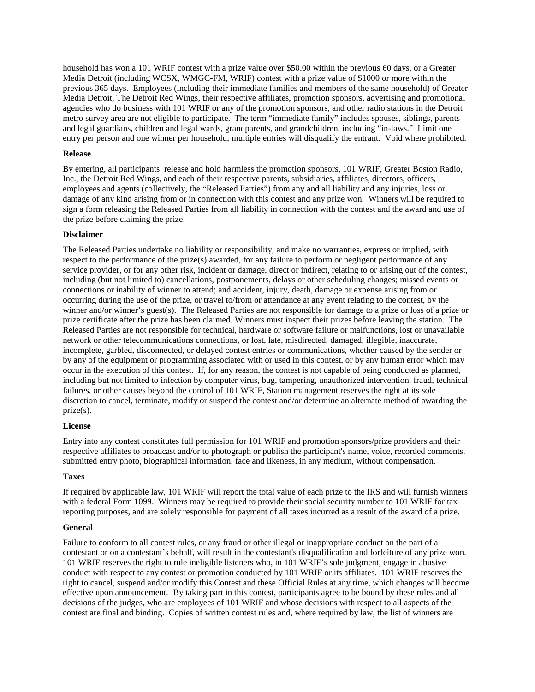household has won a 101 WRIF contest with a prize value over \$50.00 within the previous 60 days, or a Greater Media Detroit (including WCSX, WMGC-FM, WRIF) contest with a prize value of \$1000 or more within the previous 365 days. Employees (including their immediate families and members of the same household) of Greater Media Detroit, The Detroit Red Wings, their respective affiliates, promotion sponsors, advertising and promotional agencies who do business with 101 WRIF or any of the promotion sponsors, and other radio stations in the Detroit metro survey area are not eligible to participate. The term "immediate family" includes spouses, siblings, parents and legal guardians, children and legal wards, grandparents, and grandchildren, including "in-laws." Limit one entry per person and one winner per household; multiple entries will disqualify the entrant. Void where prohibited.

### **Release**

By entering, all participants release and hold harmless the promotion sponsors, 101 WRIF, Greater Boston Radio, Inc., the Detroit Red Wings, and each of their respective parents, subsidiaries, affiliates, directors, officers, employees and agents (collectively, the "Released Parties") from any and all liability and any injuries, loss or damage of any kind arising from or in connection with this contest and any prize won. Winners will be required to sign a form releasing the Released Parties from all liability in connection with the contest and the award and use of the prize before claiming the prize.

## **Disclaimer**

The Released Parties undertake no liability or responsibility, and make no warranties, express or implied, with respect to the performance of the prize(s) awarded, for any failure to perform or negligent performance of any service provider, or for any other risk, incident or damage, direct or indirect, relating to or arising out of the contest, including (but not limited to) cancellations, postponements, delays or other scheduling changes; missed events or connections or inability of winner to attend; and accident, injury, death, damage or expense arising from or occurring during the use of the prize, or travel to/from or attendance at any event relating to the contest, by the winner and/or winner's guest(s). The Released Parties are not responsible for damage to a prize or loss of a prize or prize certificate after the prize has been claimed. Winners must inspect their prizes before leaving the station. The Released Parties are not responsible for technical, hardware or software failure or malfunctions, lost or unavailable network or other telecommunications connections, or lost, late, misdirected, damaged, illegible, inaccurate, incomplete, garbled, disconnected, or delayed contest entries or communications, whether caused by the sender or by any of the equipment or programming associated with or used in this contest, or by any human error which may occur in the execution of this contest. If, for any reason, the contest is not capable of being conducted as planned, including but not limited to infection by computer virus, bug, tampering, unauthorized intervention, fraud, technical failures, or other causes beyond the control of 101 WRIF, Station management reserves the right at its sole discretion to cancel, terminate, modify or suspend the contest and/or determine an alternate method of awarding the prize(s).

### **License**

Entry into any contest constitutes full permission for 101 WRIF and promotion sponsors/prize providers and their respective affiliates to broadcast and/or to photograph or publish the participant's name, voice, recorded comments, submitted entry photo, biographical information, face and likeness, in any medium, without compensation.

### **Taxes**

If required by applicable law, 101 WRIF will report the total value of each prize to the IRS and will furnish winners with a federal Form 1099. Winners may be required to provide their social security number to 101 WRIF for tax reporting purposes, and are solely responsible for payment of all taxes incurred as a result of the award of a prize.

### **General**

Failure to conform to all contest rules, or any fraud or other illegal or inappropriate conduct on the part of a contestant or on a contestant's behalf, will result in the contestant's disqualification and forfeiture of any prize won. 101 WRIF reserves the right to rule ineligible listeners who, in 101 WRIF's sole judgment, engage in abusive conduct with respect to any contest or promotion conducted by 101 WRIF or its affiliates. 101 WRIF reserves the right to cancel, suspend and/or modify this Contest and these Official Rules at any time, which changes will become effective upon announcement. By taking part in this contest, participants agree to be bound by these rules and all decisions of the judges, who are employees of 101 WRIF and whose decisions with respect to all aspects of the contest are final and binding. Copies of written contest rules and, where required by law, the list of winners are